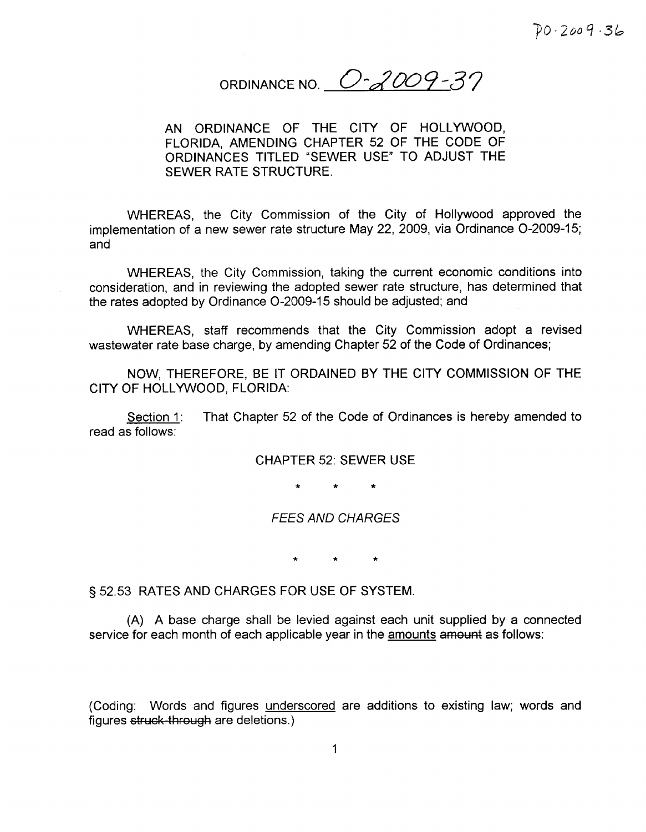ORDINANCE NO.  $O - 2009 - 37$ 

AN ORDINANCE OF THE CITY OF HOLLYWOOD FLORIDA AMENDING CHAPTER 52 OF THE CODE OF ORDINANCES TITLED "SEWER USE" TO ADJUST THE SEWER RATE STRUCTURE

WHEREAS, the City Commission of the City of Hollywood approved the implementation of a new sewer rate structure May 22, 2009, via Ordinance O-2009-15; and

WHEREAS, the City Commission, taking the current economic conditions into consideration, and in reviewing the adopted sewer rate structure, has determined that the rates adopted by Ordinance O-2009-15 should be adjusted; and

WHEREAS, staff recommends that the City Commission adopt a revised wastewater rate base charge, by amending Chapter 52 of the Code of Ordinances;

NOW, THEREFORE, BE IT ORDAINED BY THE CITY COMMISSION OF THE CITY OF HOLLYWOOD, FLORIDA:

Section 1: That Chapter 52 of the Code of Ordinances is hereby amended to read as follows

CHAPTER 52: SEWER USE

FEES AND CHARGES

<sup>S</sup> 52 53 RATES AND CHARGES FOR USE OF SYSTEM

A A base charge shall be levied against each unit supplied by <sup>a</sup> connected service for each month of each applicable year in the amounts amount as follows:

(Coding: Words and figures underscored are additions to existing law; words and figures struck-through are deletions.)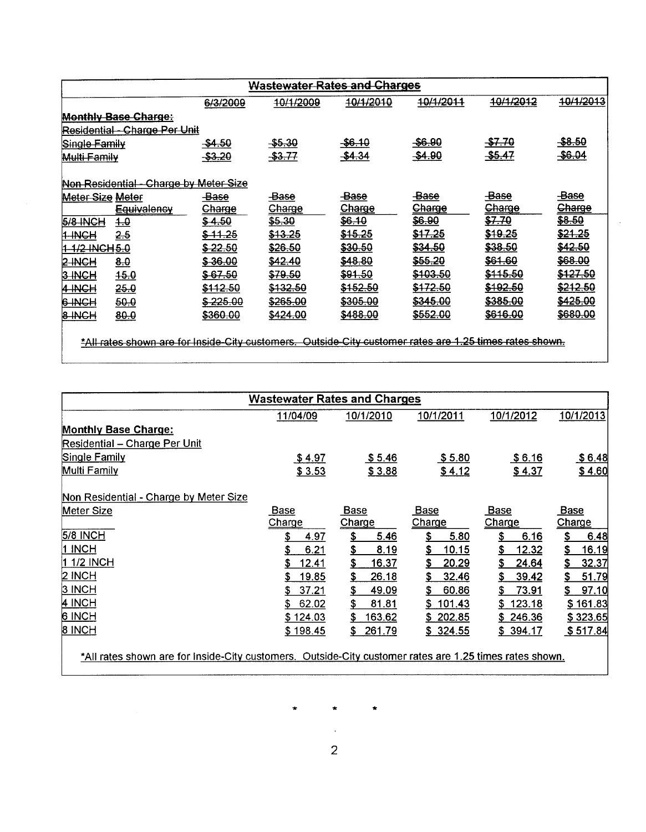| <b>Wastewater Rates and Charges</b> |                                                                                                         |                      |                   |                     |                     |                      |                     |
|-------------------------------------|---------------------------------------------------------------------------------------------------------|----------------------|-------------------|---------------------|---------------------|----------------------|---------------------|
|                                     |                                                                                                         | 6/3/2009             | 10/1/2009         | 10/1/2010           | 10/1/2011           | <del>10/1/2012</del> | 10/1/2013           |
|                                     | <b>Monthly Base Charge:</b>                                                                             |                      |                   |                     |                     |                      |                     |
|                                     | <u> Residential - Charge Per Unit</u>                                                                   |                      |                   |                     |                     |                      |                     |
| Single Family                       |                                                                                                         | -\$4.50              | $-$ \$5.30        | $-$ \$6.10          | \$6.90              | <del>\$7.70</del>    | -\$8.50             |
| Multi Family                        |                                                                                                         | $-$ \$3.20           | -\$3.77           | \$4.34              | \$4.90              | <del>\$5.47</del>    | \$6.04              |
|                                     | Non Residential - Charge by Meter Size                                                                  |                      |                   |                     |                     |                      |                     |
| Meter Size Meter                    |                                                                                                         | <b>Base</b>          | <del>-Base</del>  | <b>Base</b>         | <del>-Base</del>    | -Base                | -Base               |
|                                     | <del>Equivalency</del>                                                                                  | Charge               | Charge            | Charge              | Charge              | Charge               | <b>Charge</b>       |
| 5/8-INCH                            | 4.O                                                                                                     | \$4.50               | <del>\$5.30</del> | \$6.10              | \$6.90              | <del>\$7.70</del>    | \$8.50              |
| 1-INCH                              | 2.5                                                                                                     | <del>\$ 11.25</del>  | \$13.25           | <del>\$15.25</del>  | <del>\$17.25</del>  | \$19.25              | \$21.25             |
| 1-1/2 INCH 5.0                      |                                                                                                         | <del>\$ 22.5</del> 0 | \$26.50           | <del>\$30.5</del> 0 | \$34.50             | <del>\$38.50</del>   | <del>\$42.50</del>  |
| 2-INCH                              | 8.0                                                                                                     | <del>8 36 00</del>   | <b>\$42.40</b>    | <b>\$48.80</b>      | <del>\$55.20</del>  | <del>\$61.60</del>   | <del>\$68.00</del>  |
| 3 INCH                              | 45.0                                                                                                    | \$67.50              | \$79.50           | \$91.50             | \$103.50            | <del>\$115.50</del>  | <del>\$127.50</del> |
| 14-INCH                             | <del>25.0</del>                                                                                         | <del>\$112.50</del>  | \$132.50          | \$152.50            | \$172.50            | <del>\$192.50</del>  | \$212.50            |
| 6-INCH                              | 50.0                                                                                                    | <del>\$225.00</del>  | \$265.00          | \$305.00            | <del>\$345.00</del> | <del>\$385.00</del>  | <del>\$425.00</del> |
| 8-INCH                              | 80.0                                                                                                    | \$360.00             | <b>\$424.00</b>   | \$488.00            | <del>\$552.00</del> | <del>\$616.00</del>  | \$680.00            |
|                                     | *All rates shown are for Inside-City customers. Outside-City customer rates are 1.25 times rates shown. |                      |                   |                     |                     |                      |                     |

|                                                                                                         | <b>Wastewater Rates and Charges</b> |                    |                     |                    |                    |
|---------------------------------------------------------------------------------------------------------|-------------------------------------|--------------------|---------------------|--------------------|--------------------|
|                                                                                                         | 11/04/09                            | 10/1/2010          | 10/1/2011           | 10/1/2012          | 10/1/2013          |
| <b>Monthly Base Charge:</b>                                                                             |                                     |                    |                     |                    |                    |
| <b>Residential - Charge Per Unit</b>                                                                    |                                     |                    |                     |                    |                    |
| Single Family                                                                                           | \$4.97                              | \$5.46             | \$5.80              | <u>\$6.16</u>      | \$6.48             |
| Multi Family                                                                                            | \$3.53                              | \$3.88             | \$4.12              | \$4.37             | \$4.60             |
| Non Residential - Charge by Meter Size                                                                  |                                     |                    |                     |                    |                    |
| Meter Size                                                                                              | <b>Base</b>                         | <b>Base</b>        | <u>Base</u>         | <b>Base</b>        | <u>Base</u>        |
|                                                                                                         | Charge                              | Charge             | Charge              | Charge             | <b>Charge</b>      |
| 5/8 INCH                                                                                                | 4.97<br>S                           | \$<br>5.46         | 5.80<br>\$          | \$<br>6.16         | \$<br>6.48         |
| 1 INCH                                                                                                  | 6.21                                | \$<br>8.19         | \$<br><u> 10.15</u> | \$<br><u>12.32</u> | 16.19<br><u>\$</u> |
| 1 1/2 INCH                                                                                              | 12.41<br>S.                         | \$<br>16.37        | 20.29<br>S          | S<br>24.64         | 32.37<br>\$        |
| $2$ INCH                                                                                                | 19.85                               | \$<br>26.18        | 32.46<br>\$         | \$<br>39.42        | \$<br>51.79        |
| 3 INCH                                                                                                  | 37.21                               | \$<br><u>49.09</u> | \$<br>60.86         | \$<br>73.91        | \$<br>97.10        |
| 4 INCH                                                                                                  | 62.02<br>S.                         | \$<br>81.81        | 101.43<br>S.        | 123.18<br>S.       | \$161.83           |
| 6 INCH                                                                                                  | \$124.03                            | 163.62<br>S.       | \$202.85            | \$246.36           | \$323.65           |
| 8 INCH                                                                                                  | \$198.45                            | 261.79<br>S.       | \$324.55            | \$394.17           | \$517.84           |
| *All rates shown are for Inside-City customers. Outside-City customer rates are 1.25 times rates shown. |                                     |                    |                     |                    |                    |

 $\star$  $\star$ 

 $\star$ 

 $\alpha_{\rm{eff}}$ 2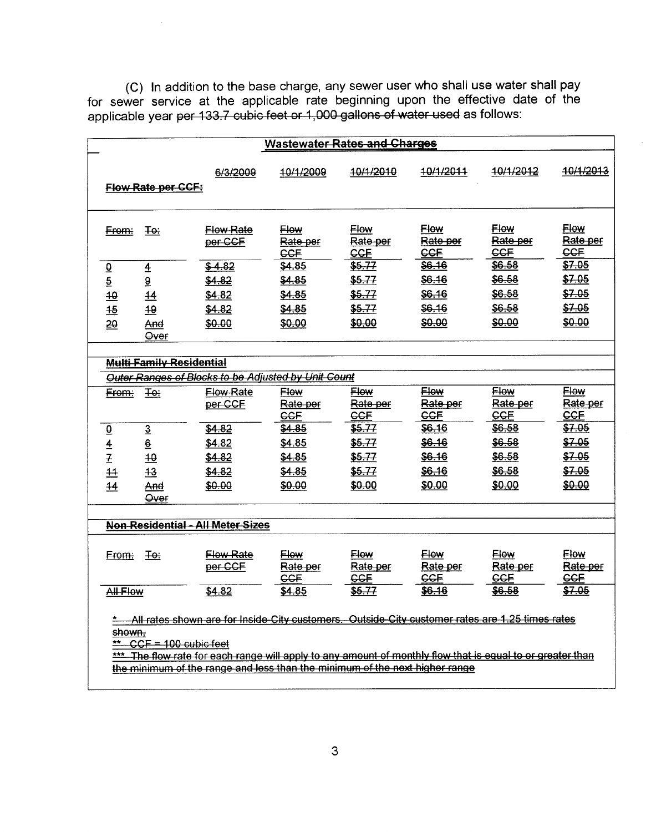C) In addition to the base charge, any sewer user who shall use water shall pay for sewer service at the applicable rate beginning upon the effective date of the applicable year <del>per 133.7 cubic feet or 1,000 gallons of water used</del> as follows

|                      |                                 |                                                                                                                                                                                                                                                                                          |                                                  | <b>Wastewater Rates and Charges</b>              |                                       |                                           |                                           |
|----------------------|---------------------------------|------------------------------------------------------------------------------------------------------------------------------------------------------------------------------------------------------------------------------------------------------------------------------------------|--------------------------------------------------|--------------------------------------------------|---------------------------------------|-------------------------------------------|-------------------------------------------|
|                      | <b>Flow Rate per CCF:</b>       | 6/3/2009                                                                                                                                                                                                                                                                                 | 10/1/2009                                        | 4 <del>0/1/2010</del>                            | 10/1/2011                             | 40/1/2012                                 | 10/1/2013                                 |
| From:                | ∓e÷                             | <del>Flow Rate</del><br>per CCF                                                                                                                                                                                                                                                          | <b>Elow</b><br>Rate-per<br><b>CCF</b>            | <b>Flow</b><br>Rate per<br>CCF                   | <b>Flow</b><br>Rate per<br><b>CCF</b> | <b>Flow</b><br><del>Rate per</del><br>CCF | <b>Flow</b><br>Rate per<br>CCF            |
| $\underline{\theta}$ | $\overline{4}$                  | \$4.82                                                                                                                                                                                                                                                                                   | \$4.85                                           | <del>\$5.77</del>                                | <b>\$6.16</b>                         | <del>\$6.58</del>                         | \$7.05                                    |
| $\overline{5}$       | $\overline{\mathbf{e}}$         | \$4.82                                                                                                                                                                                                                                                                                   | \$4.85                                           | \$5.77                                           | \$6.16                                | \$6.58                                    | \$7.05                                    |
| 40                   | $\overline{14}$                 | \$4.82                                                                                                                                                                                                                                                                                   | \$4.85                                           | \$5.77                                           | \$6.16                                | \$6.58                                    | \$7.05                                    |
| $\frac{45}{5}$       | 49                              | \$4.82                                                                                                                                                                                                                                                                                   | \$4.85                                           | <del>\$5.77</del>                                | \$6.16                                | \$6.58                                    | \$7.05                                    |
| 20                   | And<br>Over                     | \$0.00                                                                                                                                                                                                                                                                                   | \$0.00                                           | \$0.00                                           | \$0.00                                | \$0.00                                    | \$0.00                                    |
|                      | <b>Multi Family Residential</b> |                                                                                                                                                                                                                                                                                          |                                                  |                                                  |                                       |                                           |                                           |
|                      |                                 | Outer Ranges of Blocks to be Adjusted by Unit Count                                                                                                                                                                                                                                      |                                                  |                                                  |                                       |                                           |                                           |
| <del>From:</del>     | <del>To:</del>                  | <b>Flow Rate</b><br>per-CCF                                                                                                                                                                                                                                                              | <b>Flow</b><br>Rate-per<br>CCF                   | <b>Flow</b><br><del>Rate per</del><br><b>GGF</b> | <b>Flow</b><br>Rate per<br><b>CCF</b> | <b>Flow</b><br>Rate-per<br>CCF            | <b>Flow</b><br><del>Rate per</del><br>CCF |
| $\underline{\Theta}$ | $\overline{3}$                  | \$4.82                                                                                                                                                                                                                                                                                   | \$4.85                                           | \$5.77                                           | \$6.16                                | <del>\$6.58</del>                         | \$7.05                                    |
| $\overline{4}$       | 6                               | <del>\$4.82</del>                                                                                                                                                                                                                                                                        | \$4.85                                           | \$5.77                                           | \$6.16                                | \$6.58                                    | \$7.05                                    |
| $\overline{1}$       | 40                              | \$4.82                                                                                                                                                                                                                                                                                   | <del>\$4.85</del>                                | <b>\$5.77</b>                                    | <b>\$6.16</b>                         | \$6.58                                    | \$7.05                                    |
| $\overline{11}$      | 43                              | <del>\$4.82</del>                                                                                                                                                                                                                                                                        | \$4.85                                           | \$5.77                                           | <b>\$6.16</b>                         | \$6.58                                    | \$7.05                                    |
| 44                   | And<br><del>Over</del>          | \$0.00                                                                                                                                                                                                                                                                                   | \$0.00                                           | \$0.00                                           | \$0.00                                | \$0.00                                    | \$0.00                                    |
|                      |                                 |                                                                                                                                                                                                                                                                                          |                                                  |                                                  |                                       |                                           |                                           |
|                      |                                 | <b>Non Residential - All Meter Sizes</b>                                                                                                                                                                                                                                                 |                                                  |                                                  |                                       |                                           |                                           |
| From:                | ∓e÷                             | <b>Flow Rate</b><br>per CCF                                                                                                                                                                                                                                                              | <b>Flow</b><br><del>Rate per</del><br><b>CCF</b> | <b>Flow</b><br>Rate per<br>CCF                   | <b>Flow</b><br>Rate per<br><b>CCF</b> | Flow<br><del>Rate per</del><br><b>CCF</b> | Flow<br><del>Rate per</del><br><b>CCF</b> |
| <b>All Flow</b>      |                                 | \$4.82                                                                                                                                                                                                                                                                                   | <b>\$4.85</b>                                    | <del>\$5.77</del>                                | \$6.16                                | <del>\$6.5</del> 8                        | \$7.05                                    |
| shown.<br>$**$       | $CCF = 100$ cubic feet          | All rates shown are for Inside City customers. Outside City customer rates are 1.25 times rates<br>The flow rate for each range will apply to any amount of monthly flow that is equal to or greater than<br>the minimum of the range and less than the minimum of the next higher range |                                                  |                                                  |                                       |                                           |                                           |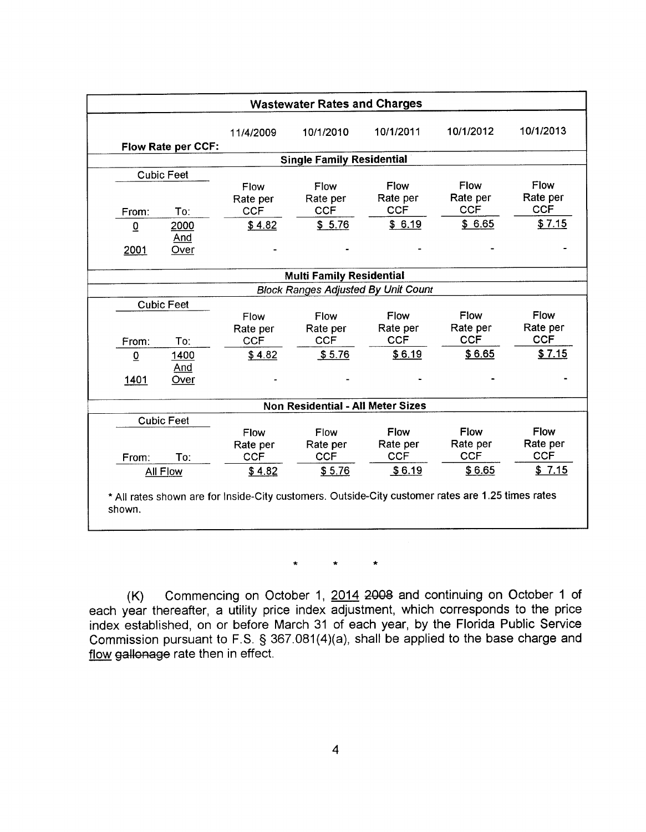| 10/1/2012<br>10/1/2011<br>10/1/2010<br>11/4/2009<br>Flow Rate per CCF:<br><b>Single Family Residential</b><br><b>Cubic Feet</b><br><b>Flow</b><br>Flow<br>Flow<br>Flow<br>Rate per<br>Rate per<br>Rate per<br>Rate per<br><b>CCF</b><br><b>CCF</b><br><b>CCF</b><br><b>CCF</b><br>To:<br>From:<br>\$6.65<br>\$6.19<br>\$5.76<br>\$4.82<br>2000<br>$\overline{0}$<br><u>And</u><br>2001<br>Over<br><b>Multi Family Residential</b><br><b>Block Ranges Adjusted By Unit Count</b><br><b>Cubic Feet</b><br><b>Flow</b><br><b>Flow</b><br>Flow<br><b>Flow</b><br>Rate per<br>Rate per<br>Rate per<br>Rate per<br><b>CCF</b><br><b>CCF</b><br><b>CCF</b><br><b>CCF</b><br>To:<br>From:<br>\$6.65<br>\$6.19<br>\$5.76<br>\$4.82<br>$\overline{0}$<br>1400<br>And<br>1401<br>Over<br><b>Non Residential - All Meter Sizes</b><br><b>Cubic Feet</b><br><b>Flow</b><br>Flow<br>Flow<br><b>Flow</b><br>Rate per<br>Rate per<br>Rate per<br>Rate per<br><b>CCF</b><br><b>CCF</b><br><b>CCF</b><br><b>CCF</b><br>To:<br>From:<br>All Flow |  |        | <b>Wastewater Rates and Charges</b> |        |        |             |
|-------------------------------------------------------------------------------------------------------------------------------------------------------------------------------------------------------------------------------------------------------------------------------------------------------------------------------------------------------------------------------------------------------------------------------------------------------------------------------------------------------------------------------------------------------------------------------------------------------------------------------------------------------------------------------------------------------------------------------------------------------------------------------------------------------------------------------------------------------------------------------------------------------------------------------------------------------------------------------------------------------------------------------|--|--------|-------------------------------------|--------|--------|-------------|
|                                                                                                                                                                                                                                                                                                                                                                                                                                                                                                                                                                                                                                                                                                                                                                                                                                                                                                                                                                                                                               |  |        |                                     |        |        | 10/1/2013   |
|                                                                                                                                                                                                                                                                                                                                                                                                                                                                                                                                                                                                                                                                                                                                                                                                                                                                                                                                                                                                                               |  |        |                                     |        |        |             |
|                                                                                                                                                                                                                                                                                                                                                                                                                                                                                                                                                                                                                                                                                                                                                                                                                                                                                                                                                                                                                               |  |        |                                     |        |        |             |
|                                                                                                                                                                                                                                                                                                                                                                                                                                                                                                                                                                                                                                                                                                                                                                                                                                                                                                                                                                                                                               |  |        |                                     |        |        |             |
|                                                                                                                                                                                                                                                                                                                                                                                                                                                                                                                                                                                                                                                                                                                                                                                                                                                                                                                                                                                                                               |  |        |                                     |        |        | Flow        |
|                                                                                                                                                                                                                                                                                                                                                                                                                                                                                                                                                                                                                                                                                                                                                                                                                                                                                                                                                                                                                               |  |        |                                     |        |        | Rate per    |
|                                                                                                                                                                                                                                                                                                                                                                                                                                                                                                                                                                                                                                                                                                                                                                                                                                                                                                                                                                                                                               |  |        |                                     |        |        | <b>CCF</b>  |
|                                                                                                                                                                                                                                                                                                                                                                                                                                                                                                                                                                                                                                                                                                                                                                                                                                                                                                                                                                                                                               |  |        |                                     |        |        | \$7.15      |
|                                                                                                                                                                                                                                                                                                                                                                                                                                                                                                                                                                                                                                                                                                                                                                                                                                                                                                                                                                                                                               |  |        |                                     |        |        |             |
|                                                                                                                                                                                                                                                                                                                                                                                                                                                                                                                                                                                                                                                                                                                                                                                                                                                                                                                                                                                                                               |  |        |                                     |        |        |             |
|                                                                                                                                                                                                                                                                                                                                                                                                                                                                                                                                                                                                                                                                                                                                                                                                                                                                                                                                                                                                                               |  |        |                                     |        |        |             |
|                                                                                                                                                                                                                                                                                                                                                                                                                                                                                                                                                                                                                                                                                                                                                                                                                                                                                                                                                                                                                               |  |        |                                     |        |        |             |
|                                                                                                                                                                                                                                                                                                                                                                                                                                                                                                                                                                                                                                                                                                                                                                                                                                                                                                                                                                                                                               |  |        |                                     |        |        |             |
|                                                                                                                                                                                                                                                                                                                                                                                                                                                                                                                                                                                                                                                                                                                                                                                                                                                                                                                                                                                                                               |  |        |                                     |        |        | <b>Flow</b> |
|                                                                                                                                                                                                                                                                                                                                                                                                                                                                                                                                                                                                                                                                                                                                                                                                                                                                                                                                                                                                                               |  |        |                                     |        |        | Rate per    |
|                                                                                                                                                                                                                                                                                                                                                                                                                                                                                                                                                                                                                                                                                                                                                                                                                                                                                                                                                                                                                               |  |        |                                     |        |        | <b>CCF</b>  |
|                                                                                                                                                                                                                                                                                                                                                                                                                                                                                                                                                                                                                                                                                                                                                                                                                                                                                                                                                                                                                               |  |        |                                     |        |        | \$7.15      |
|                                                                                                                                                                                                                                                                                                                                                                                                                                                                                                                                                                                                                                                                                                                                                                                                                                                                                                                                                                                                                               |  |        |                                     |        |        |             |
|                                                                                                                                                                                                                                                                                                                                                                                                                                                                                                                                                                                                                                                                                                                                                                                                                                                                                                                                                                                                                               |  |        |                                     |        |        |             |
|                                                                                                                                                                                                                                                                                                                                                                                                                                                                                                                                                                                                                                                                                                                                                                                                                                                                                                                                                                                                                               |  |        |                                     |        |        |             |
|                                                                                                                                                                                                                                                                                                                                                                                                                                                                                                                                                                                                                                                                                                                                                                                                                                                                                                                                                                                                                               |  |        |                                     |        |        |             |
|                                                                                                                                                                                                                                                                                                                                                                                                                                                                                                                                                                                                                                                                                                                                                                                                                                                                                                                                                                                                                               |  |        |                                     |        |        | <b>Flow</b> |
|                                                                                                                                                                                                                                                                                                                                                                                                                                                                                                                                                                                                                                                                                                                                                                                                                                                                                                                                                                                                                               |  |        |                                     |        |        | Rate per    |
|                                                                                                                                                                                                                                                                                                                                                                                                                                                                                                                                                                                                                                                                                                                                                                                                                                                                                                                                                                                                                               |  |        |                                     |        |        | <b>CCF</b>  |
|                                                                                                                                                                                                                                                                                                                                                                                                                                                                                                                                                                                                                                                                                                                                                                                                                                                                                                                                                                                                                               |  | \$4.82 | \$5.76                              | \$6.19 | \$6.65 | \$7.15      |
| * All rates shown are for Inside-City customers. Outside-City customer rates are 1.25 times rates                                                                                                                                                                                                                                                                                                                                                                                                                                                                                                                                                                                                                                                                                                                                                                                                                                                                                                                             |  |        |                                     |        |        |             |

 $\star$  $\star$  $\star$ 

 $(K)$  Commencing on October 1,  $2014$  2008 and continuing on October 1 of each year thereafter, a utility price index adjustment, which corresponds to the price index established, on or before March 31 of each year, by the Florida Public Service Commission pursuant to F.S. § 367.081(4)(a), shall be applied to the base charge and flow gallonage rate then in effect.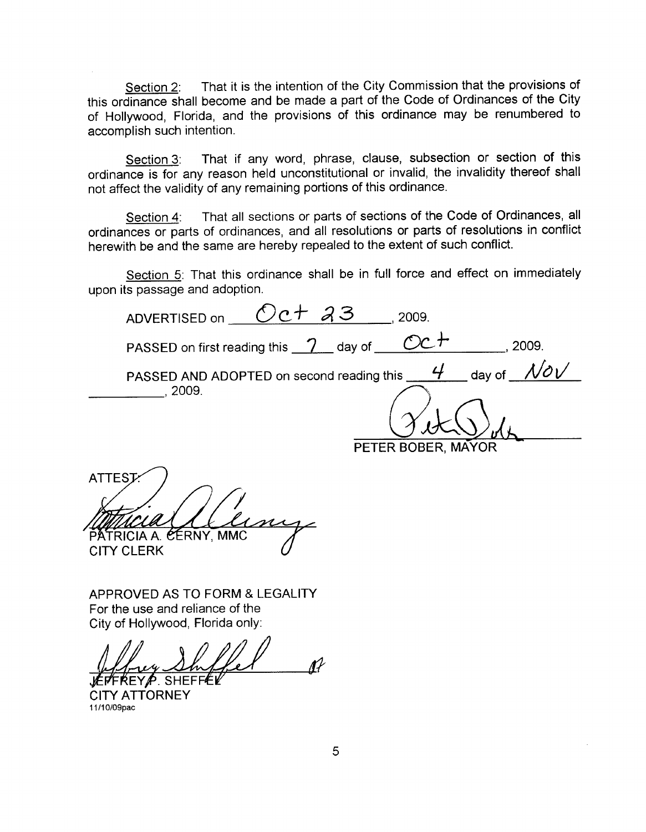Section 2: That it is the intention of the City Commission that the provisions of this ordinance shall become and be made <sup>a</sup> part of the Code of Ordinances of the City of Hollywood, Florida, and the provisions of this ordinance may be renumbered to accomplish such intention

Section 3: That if any word, phrase, clause, subsection or section of this ordinance is for any reason held unconstitutional or invalid, the invalidity thereof shall not affect the validity of any remaining portions of this ordinance

Section 4: That all sections or parts of sections of the Code of Ordinances, all ordinances or parts of ordinances, and all resolutions or parts of resolutions in conflict herewith be and the same are hereby repealed to the extent of such conflict

Section 5: That this ordinance shall be in full force and effect on immediately upon its passage and adoption

ADVERTISED on  $\sqrt{C}$   $\sqrt{C}$   $\sqrt{A}$   $\sqrt{3}$   $\sqrt{2}$   $2009$ PASSED on first reading this  $\frac{\gamma}{\gamma}$  day of  $\underline{\hspace{1cm}\mathcal{O}c}\,+\,$ PASSED AND ADOPTED on second reading this  $\underline{\hspace{1em}4\qquad \hspace{1em}}$  day of  $\underline{\hspace{1em}}$ aing this <u>Theoday</u> 2009  $N$ o $V$  $.2009.$ ATTEST<br>
MACLA (CLANCY, MMC<br>
PATRICIA A. CERNY, MMC<br>
CITY CLERK<br>
APPROVED AS TO FORM & LEGALITY<br>
For the use and reliance of the<br>
City of Hollywood, Florida only:<br>
LETTREYP. SHEFFEL<br>
CITY ATTORNEY<br>
11/10/09pac

APPROVED AS TO FORM & LEGALITY For the use and reliance of the City of Hollywood, Florida only:

CITY ATTORNEY 11/10/09pac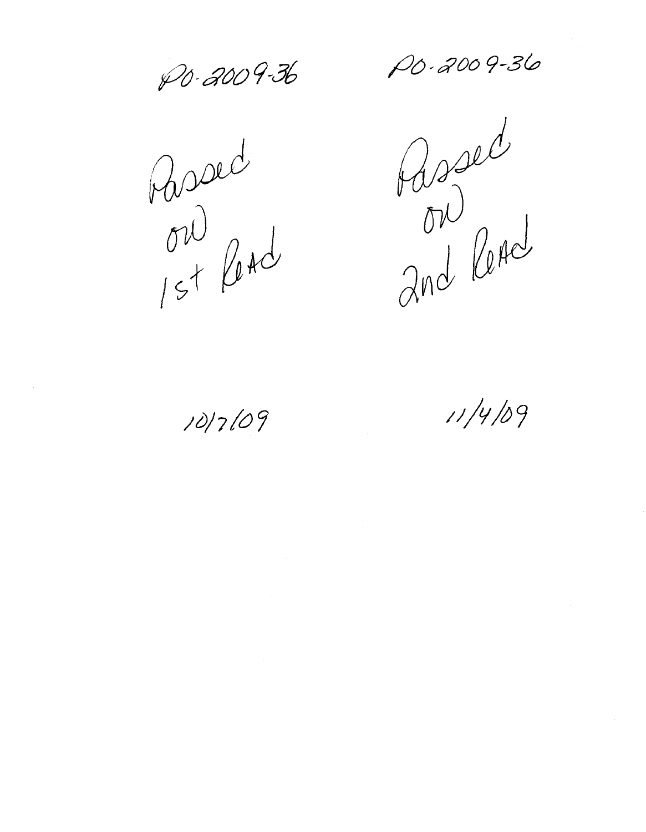PO-2009-36 PO-2009-36

Passed<br>On pad

Assed<br>and leAd

10/7/09

 $11/4/09$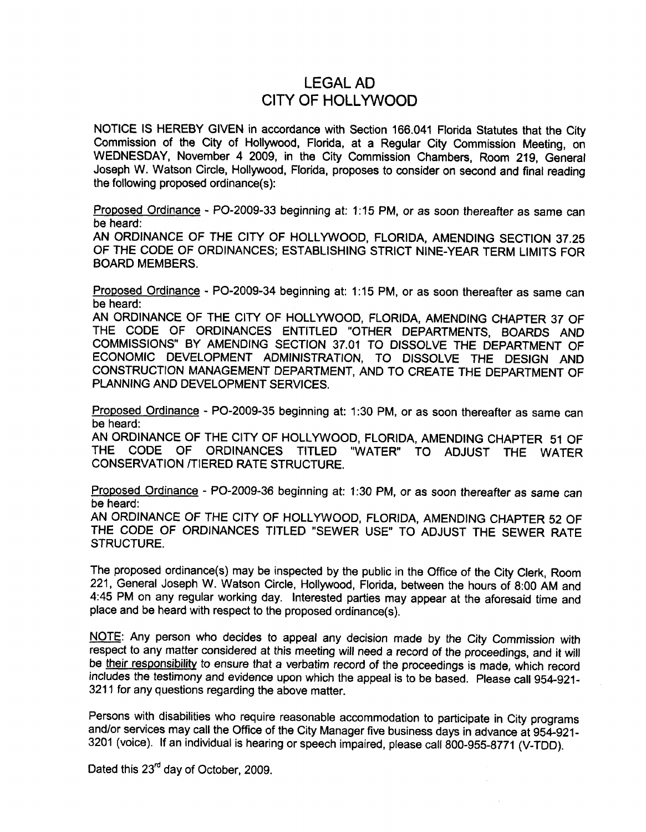## lEGAL AD CITY OF HOllYWOOD

NOTICE IS HEREBY GIVEN in accordance with Section <sup>166</sup> <sup>041</sup> Florida Statutes that the City Commission of the City of Hollywood, Florida, at a Regular City Commission Meeting, on WEDNESDAY, November 4 2009, in the City Commission Chambers, Room 219, General Joseph W. Watson Circle, Hollywood, Florida, proposes to consider on second and final reading the following proposed ordinance $(s)$ :

Proposed Ordinance - PO-2009-33 beginning at: 1:15 PM, or as soon thereafter as same can be heard

AN ORDINANCE OF THE CITY OF HOLLYWOOD, FLORIDA, AMENDING SECTION 37.25 OF THE CODE OF ORDINANCES; ESTABLISHING STRICT NINE-YEAR TERM LIMITS FOR BOARD MEMBERS

Proposed Ordinance - PO-2009-34 beginning at: 1:15 PM, or as soon thereafter as same can be heard

AN ORDINANCE OF THE CITY OF HOLLYWOOD, FLORIDA, AMENDING CHAPTER 37 OF THE CODE OF ORDINANCES ENTITLED "OTHER DEPARTMENTS, BOARDS AND COMMISSIONS" BY AMENDING SECTION 37.01 TO DISSOLVE THE DEPARTMENT OF ECONOMIC DEVELOPMENT ADMINISTRATION, TO DISSOLVE THE DESIGN AND CONSTRUCTION MANAGEMENT DEPARTMENT AND TO CREATE THE DEPARTMENT OF PLANNING AND DEVELOPMENT SERVICES

Proposed Ordinance - PO-2009-35 beginning at: 1:30 PM, or as soon thereafter as same can be heard

AN ORDINANCE OF THE CITY OF HOLLYWOOD, FLORIDA, AMENDING CHAPTER 51 OF THE CODE OF ORDINANCES TITLED "WATER" TO ADJUST THE WATER "WATER" TO ADJUST THE WATER CONSERVATION TIERED RATE STRUCTURE

Proposed Ordinance - PO-2009-36 beginning at: 1:30 PM, or as soon thereafter as same can be heard

AN ORDINANCE OF THE CITY OF HOLLYWOOD, FLORIDA, AMENDING CHAPTER 52 OF THE CODE OF ORDINANCES TITLED "SEWER USE" TO ADJUST THE SEWER RATE STRUCTURE.

The proposed ordinance(s) may be inspected by the public in the Office of the City Clerk, Room 221, General Joseph W. Watson Circle, Hollywood, Florida, between the hours of 8:00 AM and 4:45 PM on any regular working day. Interested parties may appear at the aforesaid time and place and be heard with respect to the proposed ordinance(s).

NOTE: Any person who decides to appeal any decision made by the City Commission with respect to any matter considered at this meeting will need a record of the proceedings, and it will be their responsibility to ensure that a verbatim record of the proceedings is made, which record includes the testimony and evidence upon which the appeal is to be based. Please call 954-921-<sup>3211</sup> for any questions regarding the above matter

Persons with disabilities who require reasonable accommodation to participate in City programs and/or services may call the Office of the City Manager five business days in advance at 954-921-3201 (voice). If an individual is hearing or speech impaired, please call 800-955-8771 (V-TDD).

Dated this  $23<sup>rd</sup>$  day of October, 2009.